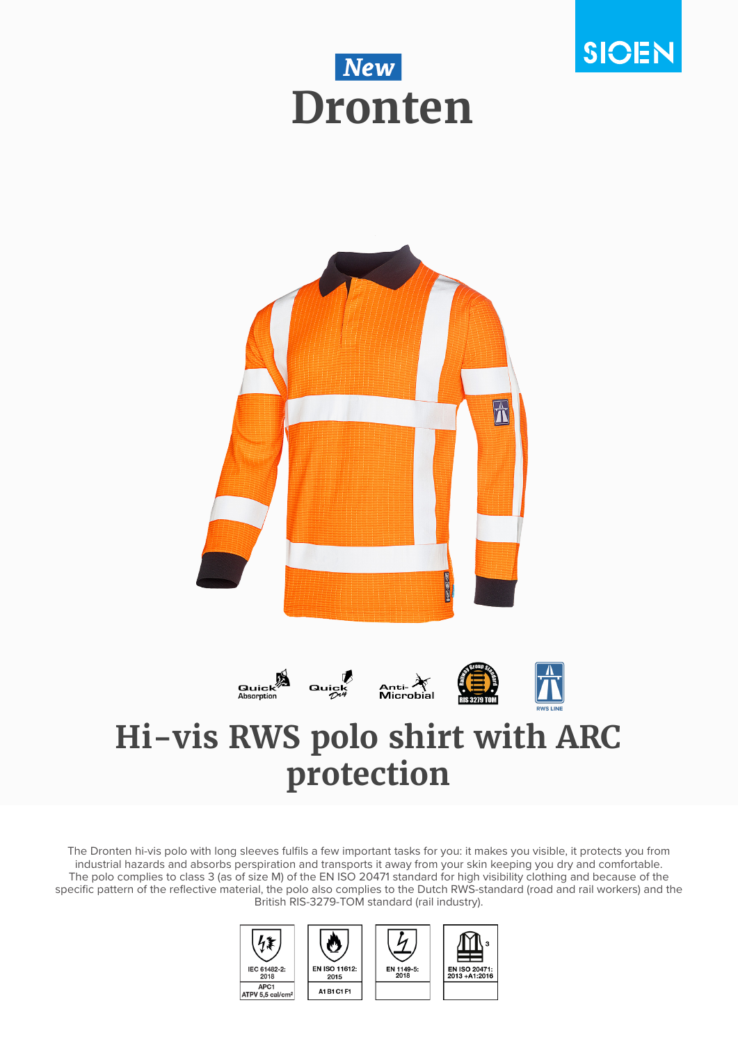





The Dronten hi-vis polo with long sleeves fulfils a few important tasks for you: it makes you visible, it protects you from industrial hazards and absorbs perspiration and transports it away from your skin keeping you dry and comfortable. The polo complies to class 3 (as of size M) of the EN ISO 20471 standard for high visibility clothing and because of the specific pattern of the reflective material, the polo also complies to the Dutch RWS-standard (road and rail workers) and the British RIS-3279-TOM standard (rail industry).